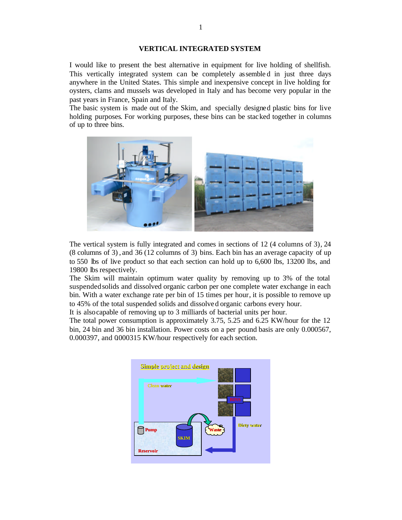## **VERTICAL INTEGRATED SYSTEM**

I would like to present the best alternative in equipment for live holding of shellfish. This vertically integrated system can be completely assemble d in just three days anywhere in the United States. This simple and inexpensive concept in live holding for oysters, clams and mussels was developed in Italy and has become very popular in the past years in France, Spain and Italy.

The basic system is made out of the Skim, and specially designed plastic bins for live holding purposes. For working purposes, these bins can be stacked together in columns of up to three bins.



The vertical system is fully integrated and comes in sections of 12 (4 columns of 3), 24 (8 columns of 3) , and 36 (12 columns of 3) bins. Each bin has an average capacity of up to 550 lbs of live product so that each section can hold up to 6,600 lbs, 13200 lbs, and 19800 lbs respectively.

The Skim will maintain optimum water quality by removing up to 3% of the total suspended solids and dissolved organic carbon per one complete water exchange in each bin. With a water exchange rate per bin of 15 times per hour, it is possible to remove up to 45% of the total suspended solids and dissolve d organic carbons every hour.

It is also capable of removing up to 3 milliards of bacterial units per hour.

The total power consumption is approximately 3.75, 5.25 and 6.25 KW/hour for the 12 bin, 24 bin and 36 bin installation. Power costs on a per pound basis are only 0.000567, 0.000397, and 0.000315 KW/hour respectively for each section.

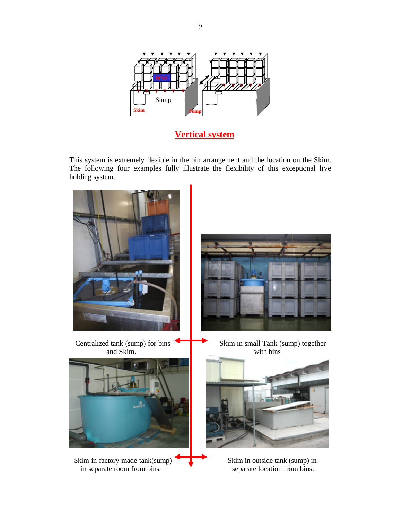

**Vertical system**

This system is extremely flexible in the bin arrangement and the location on the Skim. The following four examples fully illustrate the flexibility of this exceptional live holding system.



2